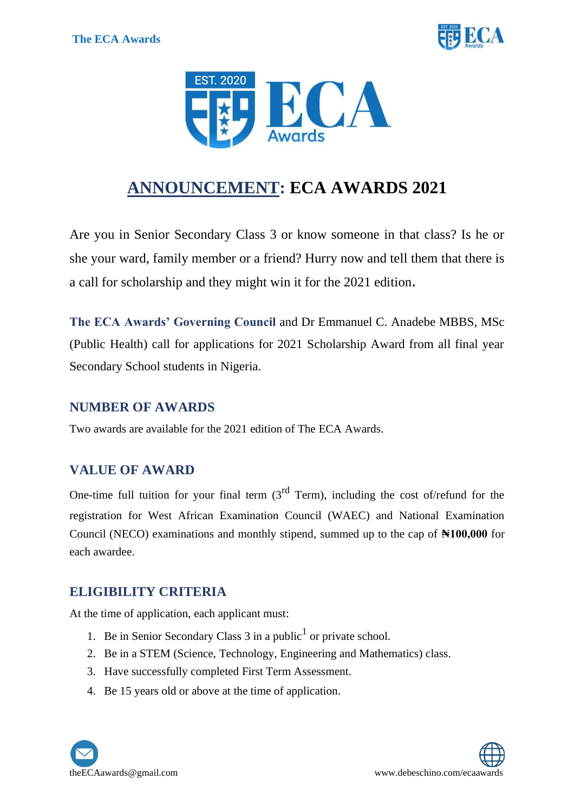



# **ANNOUNCEMENT: ECA AWARDS 2021**

Are you in Senior Secondary Class 3 or know someone in that class? Is he or she your ward, family member or a friend? Hurry now and tell them that there is a call for scholarship and they might win it for the 2021 edition**.**

**The ECA Awards' Governing Council** and Dr Emmanuel C. Anadebe MBBS, MSc (Public Health) call for applications for 2021 Scholarship Award from all final year Secondary School students in Nigeria.

#### **NUMBER OF AWARDS**

Two awards are available for the 2021 edition of The ECA Awards.

#### **VALUE OF AWARD**

One-time full tuition for your final term  $3<sup>rd</sup>$  Term), including the cost of/refund for the registration for West African Examination Council (WAEC) and National Examination Council (NECO) examinations and monthly stipend, summed up to the cap of **₦100,000** for each awardee.

#### **ELIGIBILITY CRITERIA**

At the time of application, each applicant must:

- 1. Be in Senior Secondary Class  $3$  in a public<sup>1</sup> or private school.
- 2. Be in a STEM (Science, Technology, Engineering and Mathematics) class.
- 3. Have successfully completed First Term Assessment.
- 4. Be 15 years old or above at the time of application.